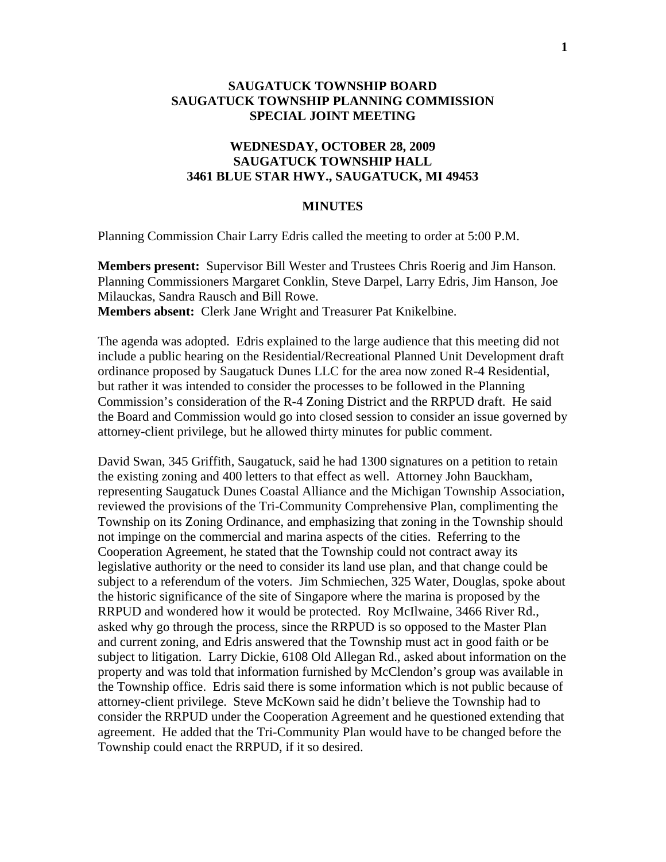## **SAUGATUCK TOWNSHIP BOARD SAUGATUCK TOWNSHIP PLANNING COMMISSION SPECIAL JOINT MEETING**

## **WEDNESDAY, OCTOBER 28, 2009 SAUGATUCK TOWNSHIP HALL 3461 BLUE STAR HWY., SAUGATUCK, MI 49453**

## **MINUTES**

Planning Commission Chair Larry Edris called the meeting to order at 5:00 P.M.

**Members present:** Supervisor Bill Wester and Trustees Chris Roerig and Jim Hanson. Planning Commissioners Margaret Conklin, Steve Darpel, Larry Edris, Jim Hanson, Joe Milauckas, Sandra Rausch and Bill Rowe.

**Members absent:** Clerk Jane Wright and Treasurer Pat Knikelbine.

The agenda was adopted. Edris explained to the large audience that this meeting did not include a public hearing on the Residential/Recreational Planned Unit Development draft ordinance proposed by Saugatuck Dunes LLC for the area now zoned R-4 Residential, but rather it was intended to consider the processes to be followed in the Planning Commission's consideration of the R-4 Zoning District and the RRPUD draft. He said the Board and Commission would go into closed session to consider an issue governed by attorney-client privilege, but he allowed thirty minutes for public comment.

David Swan, 345 Griffith, Saugatuck, said he had 1300 signatures on a petition to retain the existing zoning and 400 letters to that effect as well. Attorney John Bauckham, representing Saugatuck Dunes Coastal Alliance and the Michigan Township Association, reviewed the provisions of the Tri-Community Comprehensive Plan, complimenting the Township on its Zoning Ordinance, and emphasizing that zoning in the Township should not impinge on the commercial and marina aspects of the cities. Referring to the Cooperation Agreement, he stated that the Township could not contract away its legislative authority or the need to consider its land use plan, and that change could be subject to a referendum of the voters. Jim Schmiechen, 325 Water, Douglas, spoke about the historic significance of the site of Singapore where the marina is proposed by the RRPUD and wondered how it would be protected. Roy McIlwaine, 3466 River Rd., asked why go through the process, since the RRPUD is so opposed to the Master Plan and current zoning, and Edris answered that the Township must act in good faith or be subject to litigation. Larry Dickie, 6108 Old Allegan Rd., asked about information on the property and was told that information furnished by McClendon's group was available in the Township office. Edris said there is some information which is not public because of attorney-client privilege. Steve McKown said he didn't believe the Township had to consider the RRPUD under the Cooperation Agreement and he questioned extending that agreement. He added that the Tri-Community Plan would have to be changed before the Township could enact the RRPUD, if it so desired.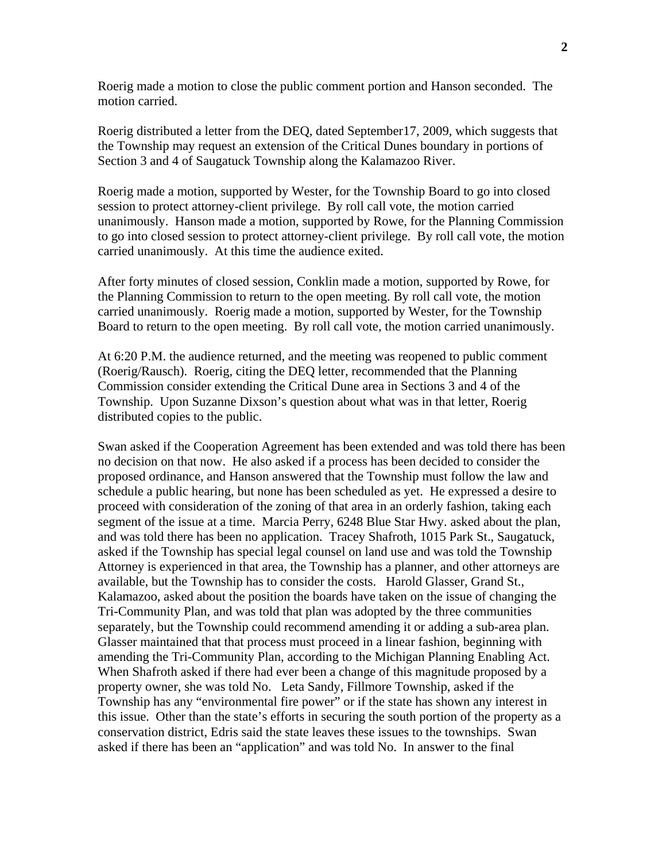Roerig made a motion to close the public comment portion and Hanson seconded. The motion carried.

Roerig distributed a letter from the DEQ, dated September17, 2009, which suggests that the Township may request an extension of the Critical Dunes boundary in portions of Section 3 and 4 of Saugatuck Township along the Kalamazoo River.

Roerig made a motion, supported by Wester, for the Township Board to go into closed session to protect attorney-client privilege. By roll call vote, the motion carried unanimously. Hanson made a motion, supported by Rowe, for the Planning Commission to go into closed session to protect attorney-client privilege. By roll call vote, the motion carried unanimously. At this time the audience exited.

After forty minutes of closed session, Conklin made a motion, supported by Rowe, for the Planning Commission to return to the open meeting. By roll call vote, the motion carried unanimously. Roerig made a motion, supported by Wester, for the Township Board to return to the open meeting. By roll call vote, the motion carried unanimously.

At 6:20 P.M. the audience returned, and the meeting was reopened to public comment (Roerig/Rausch). Roerig, citing the DEQ letter, recommended that the Planning Commission consider extending the Critical Dune area in Sections 3 and 4 of the Township. Upon Suzanne Dixson's question about what was in that letter, Roerig distributed copies to the public.

Swan asked if the Cooperation Agreement has been extended and was told there has been no decision on that now. He also asked if a process has been decided to consider the proposed ordinance, and Hanson answered that the Township must follow the law and schedule a public hearing, but none has been scheduled as yet. He expressed a desire to proceed with consideration of the zoning of that area in an orderly fashion, taking each segment of the issue at a time. Marcia Perry, 6248 Blue Star Hwy. asked about the plan, and was told there has been no application. Tracey Shafroth, 1015 Park St., Saugatuck, asked if the Township has special legal counsel on land use and was told the Township Attorney is experienced in that area, the Township has a planner, and other attorneys are available, but the Township has to consider the costs. Harold Glasser, Grand St., Kalamazoo, asked about the position the boards have taken on the issue of changing the Tri-Community Plan, and was told that plan was adopted by the three communities separately, but the Township could recommend amending it or adding a sub-area plan. Glasser maintained that that process must proceed in a linear fashion, beginning with amending the Tri-Community Plan, according to the Michigan Planning Enabling Act. When Shafroth asked if there had ever been a change of this magnitude proposed by a property owner, she was told No. Leta Sandy, Fillmore Township, asked if the Township has any "environmental fire power" or if the state has shown any interest in this issue. Other than the state's efforts in securing the south portion of the property as a conservation district, Edris said the state leaves these issues to the townships. Swan asked if there has been an "application" and was told No. In answer to the final